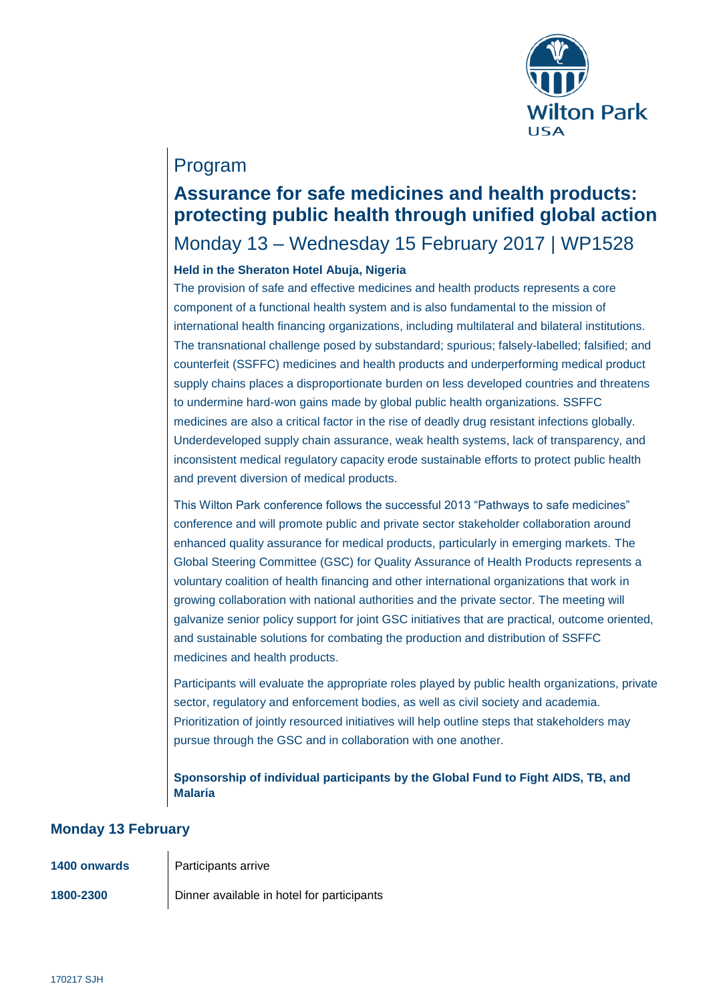

### Program

# **Assurance for safe medicines and health products: protecting public health through unified global action**

### Monday 13 – Wednesday 15 February 2017 | WP1528

#### **Held in the Sheraton Hotel Abuja, Nigeria**

The provision of safe and effective medicines and health products represents a core component of a functional health system and is also fundamental to the mission of international health financing organizations, including multilateral and bilateral institutions. The transnational challenge posed by substandard; spurious; falsely-labelled; falsified; and counterfeit (SSFFC) medicines and health products and underperforming medical product supply chains places a disproportionate burden on less developed countries and threatens to undermine hard-won gains made by global public health organizations. SSFFC medicines are also a critical factor in the rise of deadly drug resistant infections globally. Underdeveloped supply chain assurance, weak health systems, lack of transparency, and inconsistent medical regulatory capacity erode sustainable efforts to protect public health and prevent diversion of medical products.

This Wilton Park conference follows the successful 2013 "Pathways to safe medicines" conference and will promote public and private sector stakeholder collaboration around enhanced quality assurance for medical products, particularly in emerging markets. The Global Steering Committee (GSC) for Quality Assurance of Health Products represents a voluntary coalition of health financing and other international organizations that work in growing collaboration with national authorities and the private sector. The meeting will galvanize senior policy support for joint GSC initiatives that are practical, outcome oriented, and sustainable solutions for combating the production and distribution of SSFFC medicines and health products.

Participants will evaluate the appropriate roles played by public health organizations, private sector, regulatory and enforcement bodies, as well as civil society and academia. Prioritization of jointly resourced initiatives will help outline steps that stakeholders may pursue through the GSC and in collaboration with one another.

**Sponsorship of individual participants by the Global Fund to Fight AIDS, TB, and Malaria**

#### **Monday 13 February**

| 1400 onwards | <b>Participants arrive</b>                 |
|--------------|--------------------------------------------|
| 1800-2300    | Dinner available in hotel for participants |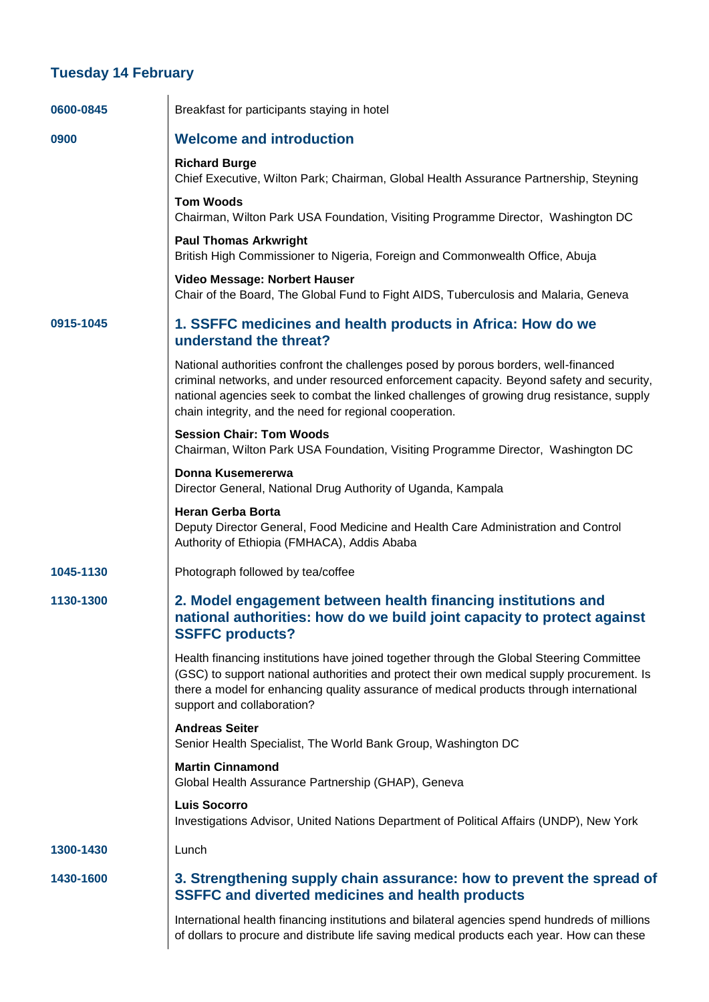#### **Tuesday 14 February**

| 0600-0845 | Breakfast for participants staying in hotel                                                                                                                                                                                                                                                                                             |
|-----------|-----------------------------------------------------------------------------------------------------------------------------------------------------------------------------------------------------------------------------------------------------------------------------------------------------------------------------------------|
| 0900      | <b>Welcome and introduction</b>                                                                                                                                                                                                                                                                                                         |
|           | <b>Richard Burge</b><br>Chief Executive, Wilton Park; Chairman, Global Health Assurance Partnership, Steyning                                                                                                                                                                                                                           |
|           | <b>Tom Woods</b><br>Chairman, Wilton Park USA Foundation, Visiting Programme Director, Washington DC                                                                                                                                                                                                                                    |
|           | <b>Paul Thomas Arkwright</b><br>British High Commissioner to Nigeria, Foreign and Commonwealth Office, Abuja                                                                                                                                                                                                                            |
|           | Video Message: Norbert Hauser<br>Chair of the Board, The Global Fund to Fight AIDS, Tuberculosis and Malaria, Geneva                                                                                                                                                                                                                    |
| 0915-1045 | 1. SSFFC medicines and health products in Africa: How do we<br>understand the threat?                                                                                                                                                                                                                                                   |
|           | National authorities confront the challenges posed by porous borders, well-financed<br>criminal networks, and under resourced enforcement capacity. Beyond safety and security,<br>national agencies seek to combat the linked challenges of growing drug resistance, supply<br>chain integrity, and the need for regional cooperation. |
|           | <b>Session Chair: Tom Woods</b><br>Chairman, Wilton Park USA Foundation, Visiting Programme Director, Washington DC                                                                                                                                                                                                                     |
|           | Donna Kusemererwa<br>Director General, National Drug Authority of Uganda, Kampala                                                                                                                                                                                                                                                       |
|           | <b>Heran Gerba Borta</b><br>Deputy Director General, Food Medicine and Health Care Administration and Control<br>Authority of Ethiopia (FMHACA), Addis Ababa                                                                                                                                                                            |
| 1045-1130 | Photograph followed by tea/coffee                                                                                                                                                                                                                                                                                                       |
| 1130-1300 | 2. Model engagement between health financing institutions and<br>national authorities: how do we build joint capacity to protect against<br><b>SSFFC products?</b>                                                                                                                                                                      |
|           | Health financing institutions have joined together through the Global Steering Committee<br>(GSC) to support national authorities and protect their own medical supply procurement. Is<br>there a model for enhancing quality assurance of medical products through international<br>support and collaboration?                         |
|           | <b>Andreas Seiter</b><br>Senior Health Specialist, The World Bank Group, Washington DC                                                                                                                                                                                                                                                  |
|           | <b>Martin Cinnamond</b><br>Global Health Assurance Partnership (GHAP), Geneva                                                                                                                                                                                                                                                           |
|           | <b>Luis Socorro</b><br>Investigations Advisor, United Nations Department of Political Affairs (UNDP), New York                                                                                                                                                                                                                          |
| 1300-1430 | Lunch                                                                                                                                                                                                                                                                                                                                   |
| 1430-1600 | 3. Strengthening supply chain assurance: how to prevent the spread of<br><b>SSFFC and diverted medicines and health products</b>                                                                                                                                                                                                        |
|           | International health financing institutions and bilateral agencies spend hundreds of millions<br>of dollars to procure and distribute life saving medical products each year. How can these                                                                                                                                             |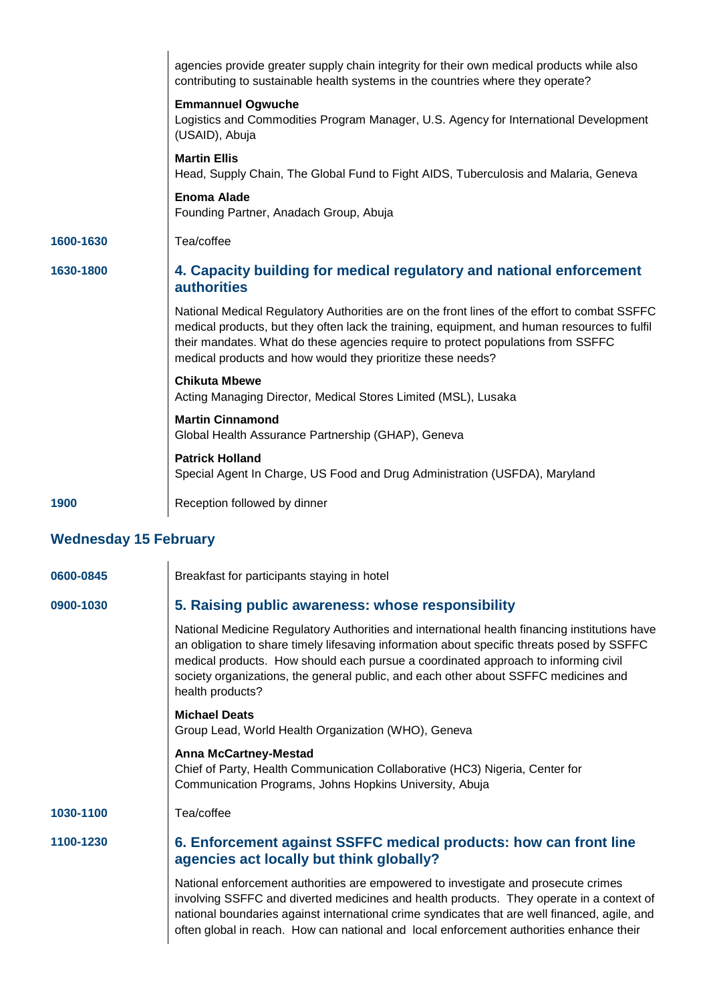|           | agencies provide greater supply chain integrity for their own medical products while also<br>contributing to sustainable health systems in the countries where they operate?                                                                                                                                                                    |
|-----------|-------------------------------------------------------------------------------------------------------------------------------------------------------------------------------------------------------------------------------------------------------------------------------------------------------------------------------------------------|
|           | <b>Emmannuel Ogwuche</b><br>Logistics and Commodities Program Manager, U.S. Agency for International Development<br>(USAID), Abuja                                                                                                                                                                                                              |
|           | <b>Martin Ellis</b><br>Head, Supply Chain, The Global Fund to Fight AIDS, Tuberculosis and Malaria, Geneva                                                                                                                                                                                                                                      |
|           | <b>Enoma Alade</b><br>Founding Partner, Anadach Group, Abuja                                                                                                                                                                                                                                                                                    |
| 1600-1630 | Tea/coffee                                                                                                                                                                                                                                                                                                                                      |
| 1630-1800 | 4. Capacity building for medical regulatory and national enforcement<br><b>authorities</b>                                                                                                                                                                                                                                                      |
|           | National Medical Regulatory Authorities are on the front lines of the effort to combat SSFFC<br>medical products, but they often lack the training, equipment, and human resources to fulfil<br>their mandates. What do these agencies require to protect populations from SSFFC<br>medical products and how would they prioritize these needs? |
|           | <b>Chikuta Mbewe</b><br>Acting Managing Director, Medical Stores Limited (MSL), Lusaka                                                                                                                                                                                                                                                          |
|           | <b>Martin Cinnamond</b><br>Global Health Assurance Partnership (GHAP), Geneva                                                                                                                                                                                                                                                                   |
|           | <b>Patrick Holland</b><br>Special Agent In Charge, US Food and Drug Administration (USFDA), Maryland                                                                                                                                                                                                                                            |
| 1900      | Reception followed by dinner                                                                                                                                                                                                                                                                                                                    |
|           |                                                                                                                                                                                                                                                                                                                                                 |

## **Wednesday 15 February**

| 0600-0845 | Breakfast for participants staying in hotel                                                                                                                                                                                                                                                                                                                                                  |
|-----------|----------------------------------------------------------------------------------------------------------------------------------------------------------------------------------------------------------------------------------------------------------------------------------------------------------------------------------------------------------------------------------------------|
| 0900-1030 | 5. Raising public awareness: whose responsibility                                                                                                                                                                                                                                                                                                                                            |
|           | National Medicine Regulatory Authorities and international health financing institutions have<br>an obligation to share timely lifesaving information about specific threats posed by SSFFC<br>medical products. How should each pursue a coordinated approach to informing civil<br>society organizations, the general public, and each other about SSFFC medicines and<br>health products? |
|           | <b>Michael Deats</b><br>Group Lead, World Health Organization (WHO), Geneva                                                                                                                                                                                                                                                                                                                  |
|           | <b>Anna McCartney-Mestad</b><br>Chief of Party, Health Communication Collaborative (HC3) Nigeria, Center for<br>Communication Programs, Johns Hopkins University, Abuja                                                                                                                                                                                                                      |
| 1030-1100 | Tea/coffee                                                                                                                                                                                                                                                                                                                                                                                   |
| 1100-1230 | 6. Enforcement against SSFFC medical products: how can front line<br>agencies act locally but think globally?                                                                                                                                                                                                                                                                                |
|           | National enforcement authorities are empowered to investigate and prosecute crimes<br>involving SSFFC and diverted medicines and health products. They operate in a context of<br>national boundaries against international crime syndicates that are well financed, agile, and<br>often global in reach. How can national and local enforcement authorities enhance their                   |